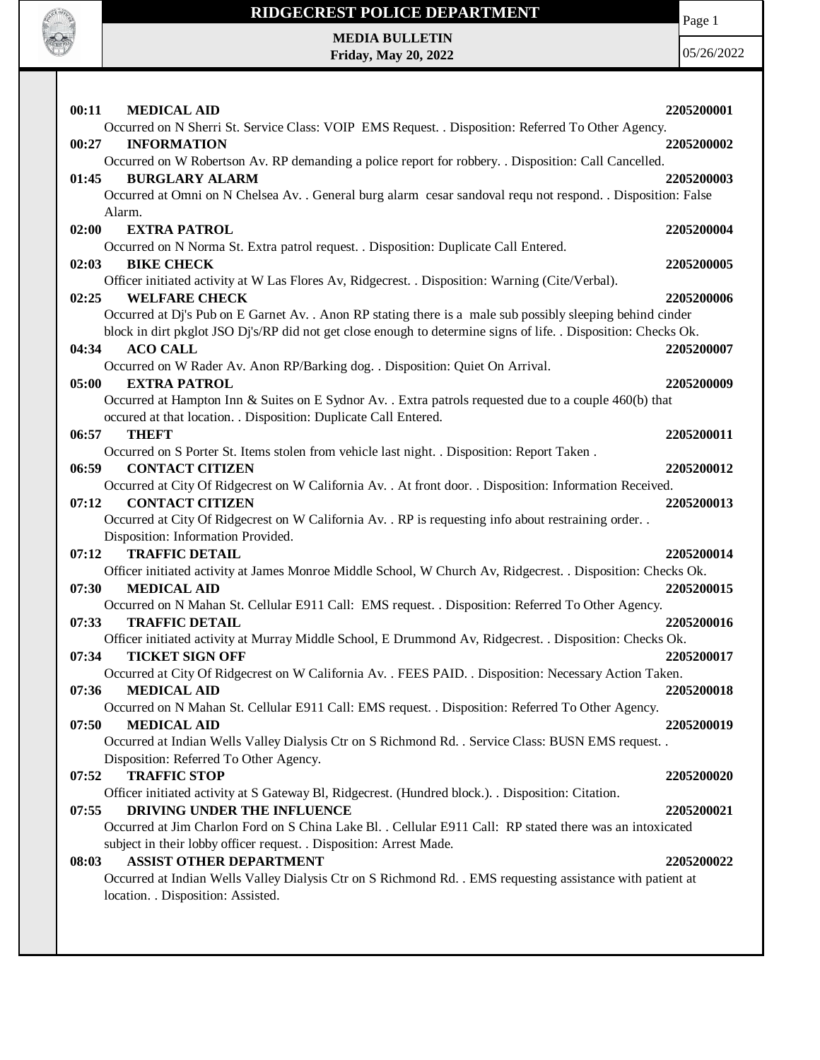

**Friday, May 20, 2022**

Page 1

| 00:11<br><b>MEDICAL AID</b>                                                                                              | 2205200001 |
|--------------------------------------------------------------------------------------------------------------------------|------------|
| Occurred on N Sherri St. Service Class: VOIP EMS Request. . Disposition: Referred To Other Agency.                       |            |
| <b>INFORMATION</b><br>00:27                                                                                              | 2205200002 |
| Occurred on W Robertson Av. RP demanding a police report for robbery. . Disposition: Call Cancelled.                     |            |
| <b>BURGLARY ALARM</b><br>01:45                                                                                           | 2205200003 |
| Occurred at Omni on N Chelsea Av. . General burg alarm cesar sandoval requ not respond. . Disposition: False             |            |
| Alarm.                                                                                                                   |            |
| <b>EXTRA PATROL</b><br>02:00                                                                                             | 2205200004 |
| Occurred on N Norma St. Extra patrol request. . Disposition: Duplicate Call Entered.                                     |            |
| <b>BIKE CHECK</b><br>02:03                                                                                               | 2205200005 |
| Officer initiated activity at W Las Flores Av, Ridgecrest. . Disposition: Warning (Cite/Verbal).<br><b>WELFARE CHECK</b> | 2205200006 |
| 02:25<br>Occurred at Dj's Pub on E Garnet Av. . Anon RP stating there is a male sub possibly sleeping behind cinder      |            |
| block in dirt pkglot JSO Dj's/RP did not get close enough to determine signs of life. . Disposition: Checks Ok.          |            |
| <b>ACO CALL</b><br>04:34                                                                                                 |            |
|                                                                                                                          | 2205200007 |
| Occurred on W Rader Av. Anon RP/Barking dog. . Disposition: Quiet On Arrival.<br>05:00<br><b>EXTRA PATROL</b>            | 2205200009 |
| Occurred at Hampton Inn & Suites on E Sydnor Av. . Extra patrols requested due to a couple 460(b) that                   |            |
| occured at that location. . Disposition: Duplicate Call Entered.                                                         |            |
| 06:57<br><b>THEFT</b>                                                                                                    | 2205200011 |
| Occurred on S Porter St. Items stolen from vehicle last night. . Disposition: Report Taken.                              |            |
| <b>CONTACT CITIZEN</b><br>06:59                                                                                          | 2205200012 |
| Occurred at City Of Ridgecrest on W California Av. . At front door. . Disposition: Information Received.                 |            |
| <b>CONTACT CITIZEN</b><br>07:12                                                                                          | 2205200013 |
| Occurred at City Of Ridgecrest on W California Av. . RP is requesting info about restraining order. .                    |            |
| Disposition: Information Provided.                                                                                       |            |
| <b>TRAFFIC DETAIL</b><br>07:12                                                                                           | 2205200014 |
| Officer initiated activity at James Monroe Middle School, W Church Av, Ridgecrest. . Disposition: Checks Ok.             |            |
| 07:30<br><b>MEDICAL AID</b>                                                                                              | 2205200015 |
| Occurred on N Mahan St. Cellular E911 Call: EMS request. . Disposition: Referred To Other Agency.                        |            |
| <b>TRAFFIC DETAIL</b><br>07:33                                                                                           | 2205200016 |
| Officer initiated activity at Murray Middle School, E Drummond Av, Ridgecrest. . Disposition: Checks Ok.                 |            |
| 07:34<br><b>TICKET SIGN OFF</b>                                                                                          | 2205200017 |
| Occurred at City Of Ridgecrest on W California Av. . FEES PAID. . Disposition: Necessary Action Taken.                   |            |
| 07:36<br><b>MEDICAL AID</b>                                                                                              | 2205200018 |
| Occurred on N Mahan St. Cellular E911 Call: EMS request. . Disposition: Referred To Other Agency.                        |            |
| 07:50<br><b>MEDICAL AID</b>                                                                                              | 2205200019 |
| Occurred at Indian Wells Valley Dialysis Ctr on S Richmond Rd. . Service Class: BUSN EMS request. .                      |            |
| Disposition: Referred To Other Agency.                                                                                   |            |
| 07:52<br><b>TRAFFIC STOP</b>                                                                                             | 2205200020 |
| Officer initiated activity at S Gateway Bl, Ridgecrest. (Hundred block.). Disposition: Citation.                         |            |
| DRIVING UNDER THE INFLUENCE<br>07:55                                                                                     | 2205200021 |
| Occurred at Jim Charlon Ford on S China Lake Bl. . Cellular E911 Call: RP stated there was an intoxicated                |            |
| subject in their lobby officer request. . Disposition: Arrest Made.                                                      |            |
| <b>ASSIST OTHER DEPARTMENT</b><br>08:03                                                                                  | 2205200022 |
| Occurred at Indian Wells Valley Dialysis Ctr on S Richmond Rd. . EMS requesting assistance with patient at               |            |
| location. . Disposition: Assisted.                                                                                       |            |
|                                                                                                                          |            |
|                                                                                                                          |            |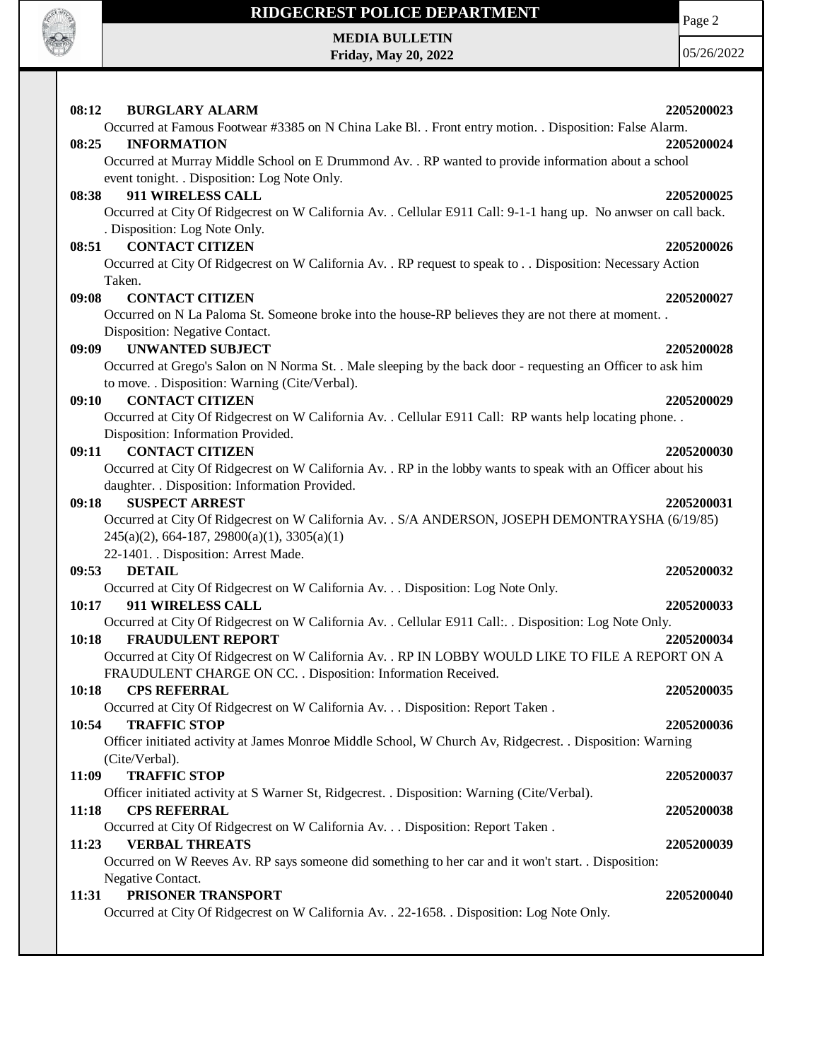

**Friday, May 20, 2022**

Page 2

| 08:12 | <b>BURGLARY ALARM</b>                                                                                           | 2205200023 |
|-------|-----------------------------------------------------------------------------------------------------------------|------------|
|       | Occurred at Famous Footwear #3385 on N China Lake Bl. . Front entry motion. . Disposition: False Alarm.         |            |
| 08:25 | <b>INFORMATION</b>                                                                                              | 2205200024 |
|       | Occurred at Murray Middle School on E Drummond Av. . RP wanted to provide information about a school            |            |
|       | event tonight. . Disposition: Log Note Only.                                                                    |            |
| 08:38 | 911 WIRELESS CALL                                                                                               | 2205200025 |
|       | Occurred at City Of Ridgecrest on W California Av. . Cellular E911 Call: 9-1-1 hang up. No anwser on call back. |            |
|       | . Disposition: Log Note Only.                                                                                   |            |
| 08:51 | <b>CONTACT CITIZEN</b>                                                                                          | 2205200026 |
|       | Occurred at City Of Ridgecrest on W California Av. . RP request to speak to Disposition: Necessary Action       |            |
|       | Taken.                                                                                                          |            |
| 09:08 | <b>CONTACT CITIZEN</b>                                                                                          | 2205200027 |
|       | Occurred on N La Paloma St. Someone broke into the house-RP believes they are not there at moment               |            |
|       | Disposition: Negative Contact.                                                                                  |            |
| 09:09 | <b>UNWANTED SUBJECT</b>                                                                                         | 2205200028 |
|       | Occurred at Grego's Salon on N Norma St. . Male sleeping by the back door - requesting an Officer to ask him    |            |
|       | to move. . Disposition: Warning (Cite/Verbal).                                                                  |            |
| 09:10 | <b>CONTACT CITIZEN</b>                                                                                          | 2205200029 |
|       | Occurred at City Of Ridgecrest on W California Av. . Cellular E911 Call: RP wants help locating phone. .        |            |
|       | Disposition: Information Provided.                                                                              |            |
| 09:11 | <b>CONTACT CITIZEN</b>                                                                                          | 2205200030 |
|       | Occurred at City Of Ridgecrest on W California Av. . RP in the lobby wants to speak with an Officer about his   |            |
|       | daughter. . Disposition: Information Provided.                                                                  |            |
| 09:18 | <b>SUSPECT ARREST</b>                                                                                           | 2205200031 |
|       | Occurred at City Of Ridgecrest on W California Av. . S/A ANDERSON, JOSEPH DEMONTRAYSHA (6/19/85)                |            |
|       | $245(a)(2)$ , 664-187, 29800(a)(1), 3305(a)(1)                                                                  |            |
|       | 22-1401. . Disposition: Arrest Made.                                                                            |            |
| 09:53 | <b>DETAIL</b>                                                                                                   | 2205200032 |
|       | Occurred at City Of Ridgecrest on W California Av. Disposition: Log Note Only.                                  |            |
| 10:17 | 911 WIRELESS CALL                                                                                               | 2205200033 |
|       | Occurred at City Of Ridgecrest on W California Av. . Cellular E911 Call: Disposition: Log Note Only.            |            |
| 10:18 | <b>FRAUDULENT REPORT</b>                                                                                        | 2205200034 |
|       | Occurred at City Of Ridgecrest on W California Av. . RP IN LOBBY WOULD LIKE TO FILE A REPORT ON A               |            |
|       | FRAUDULENT CHARGE ON CC. . Disposition: Information Received.                                                   |            |
| 10:18 | <b>CPS REFERRAL</b>                                                                                             | 2205200035 |
|       | Occurred at City Of Ridgecrest on W California Av. Disposition: Report Taken .                                  |            |
| 10:54 | <b>TRAFFIC STOP</b>                                                                                             | 2205200036 |
|       | Officer initiated activity at James Monroe Middle School, W Church Av, Ridgecrest. . Disposition: Warning       |            |
|       | (Cite/Verbal).                                                                                                  |            |
| 11:09 | <b>TRAFFIC STOP</b>                                                                                             | 2205200037 |
|       | Officer initiated activity at S Warner St, Ridgecrest. . Disposition: Warning (Cite/Verbal).                    |            |
| 11:18 | <b>CPS REFERRAL</b>                                                                                             | 2205200038 |
|       | Occurred at City Of Ridgecrest on W California Av. Disposition: Report Taken .                                  |            |
| 11:23 | <b>VERBAL THREATS</b>                                                                                           | 2205200039 |
|       | Occurred on W Reeves Av. RP says someone did something to her car and it won't start. . Disposition:            |            |
|       | Negative Contact.                                                                                               |            |
| 11:31 | PRISONER TRANSPORT                                                                                              | 2205200040 |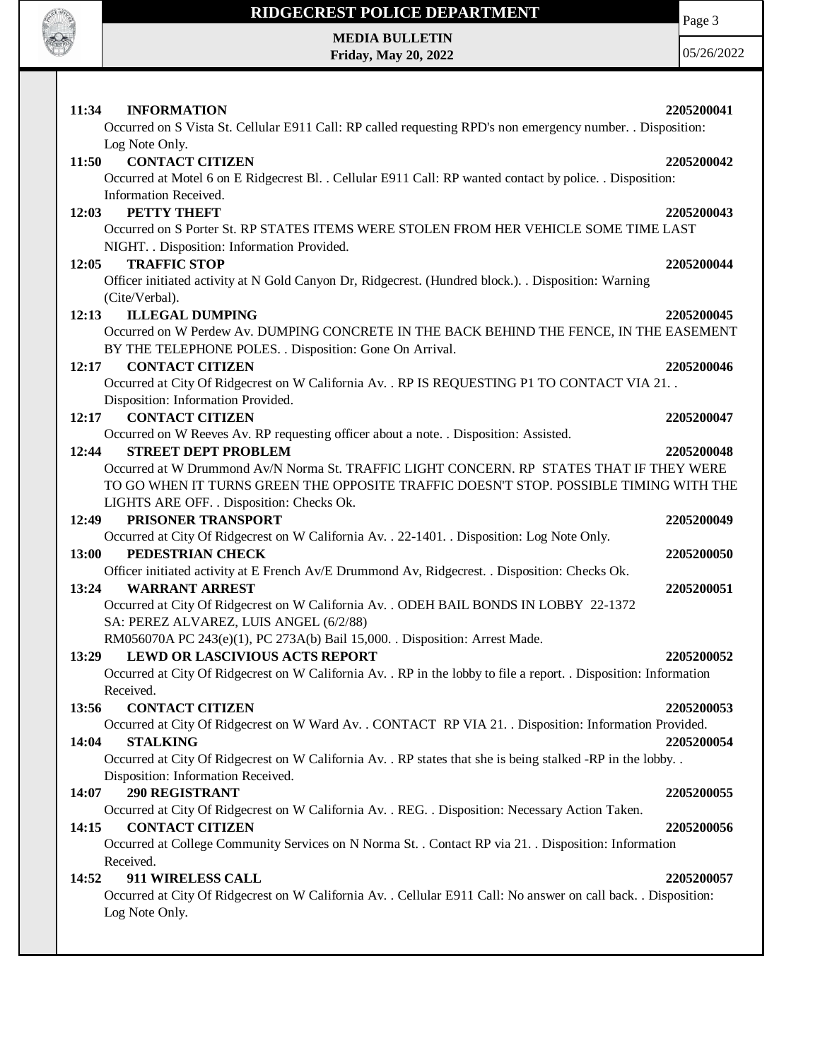

**Friday, May 20, 2022**

Page 3

| <b>INFORMATION</b><br>11:34                                                                                                     | 2205200041 |
|---------------------------------------------------------------------------------------------------------------------------------|------------|
| Occurred on S Vista St. Cellular E911 Call: RP called requesting RPD's non emergency number. . Disposition:                     |            |
| Log Note Only.                                                                                                                  |            |
| <b>CONTACT CITIZEN</b><br>11:50                                                                                                 | 2205200042 |
| Occurred at Motel 6 on E Ridgecrest Bl. . Cellular E911 Call: RP wanted contact by police. . Disposition:                       |            |
| Information Received.                                                                                                           |            |
| PETTY THEFT<br>12:03                                                                                                            | 2205200043 |
| Occurred on S Porter St. RP STATES ITEMS WERE STOLEN FROM HER VEHICLE SOME TIME LAST                                            |            |
| NIGHT. . Disposition: Information Provided.                                                                                     |            |
| 12:05<br><b>TRAFFIC STOP</b>                                                                                                    | 2205200044 |
| Officer initiated activity at N Gold Canyon Dr, Ridgecrest. (Hundred block.). . Disposition: Warning                            |            |
| (Cite/Verbal).                                                                                                                  |            |
| <b>ILLEGAL DUMPING</b><br>12:13                                                                                                 | 2205200045 |
| Occurred on W Perdew Av. DUMPING CONCRETE IN THE BACK BEHIND THE FENCE, IN THE EASEMENT                                         |            |
| BY THE TELEPHONE POLES. . Disposition: Gone On Arrival.                                                                         |            |
| <b>CONTACT CITIZEN</b><br>12:17                                                                                                 | 2205200046 |
| Occurred at City Of Ridgecrest on W California Av. . RP IS REQUESTING P1 TO CONTACT VIA 21. .                                   |            |
| Disposition: Information Provided.                                                                                              |            |
| <b>CONTACT CITIZEN</b><br>12:17                                                                                                 | 2205200047 |
| Occurred on W Reeves Av. RP requesting officer about a note. . Disposition: Assisted.                                           |            |
| <b>STREET DEPT PROBLEM</b><br>12:44<br>Occurred at W Drummond Av/N Norma St. TRAFFIC LIGHT CONCERN. RP STATES THAT IF THEY WERE | 2205200048 |
| TO GO WHEN IT TURNS GREEN THE OPPOSITE TRAFFIC DOESN'T STOP. POSSIBLE TIMING WITH THE                                           |            |
| LIGHTS ARE OFF. . Disposition: Checks Ok.                                                                                       |            |
| PRISONER TRANSPORT<br>12:49                                                                                                     | 2205200049 |
| Occurred at City Of Ridgecrest on W California Av. . 22-1401. . Disposition: Log Note Only.                                     |            |
| 13:00<br>PEDESTRIAN CHECK                                                                                                       | 2205200050 |
| Officer initiated activity at E French Av/E Drummond Av, Ridgecrest. . Disposition: Checks Ok.                                  |            |
| <b>WARRANT ARREST</b><br>13:24                                                                                                  | 2205200051 |
| Occurred at City Of Ridgecrest on W California Av. . ODEH BAIL BONDS IN LOBBY 22-1372                                           |            |
| SA: PEREZ ALVAREZ, LUIS ANGEL (6/2/88)                                                                                          |            |
| RM056070A PC 243(e)(1), PC 273A(b) Bail 15,000. . Disposition: Arrest Made.                                                     |            |
| <b>LEWD OR LASCIVIOUS ACTS REPORT</b><br>13:29                                                                                  | 2205200052 |
| Occurred at City Of Ridgecrest on W California Av. . RP in the lobby to file a report. . Disposition: Information               |            |
| Received.                                                                                                                       |            |
| 13:56<br><b>CONTACT CITIZEN</b>                                                                                                 | 2205200053 |
| Occurred at City Of Ridgecrest on W Ward Av. . CONTACT RP VIA 21. . Disposition: Information Provided.                          |            |
| <b>STALKING</b><br>14:04                                                                                                        | 2205200054 |
| Occurred at City Of Ridgecrest on W California Av. . RP states that she is being stalked -RP in the lobby. .                    |            |
| Disposition: Information Received.                                                                                              |            |
| 290 REGISTRANT<br>14:07                                                                                                         | 2205200055 |
| Occurred at City Of Ridgecrest on W California Av. . REG. . Disposition: Necessary Action Taken.<br><b>CONTACT CITIZEN</b>      |            |
| 14:15<br>Occurred at College Community Services on N Norma St. . Contact RP via 21. . Disposition: Information                  | 2205200056 |
| Received.                                                                                                                       |            |
| 14:52<br>911 WIRELESS CALL                                                                                                      | 2205200057 |
| Occurred at City Of Ridgecrest on W California Av. . Cellular E911 Call: No answer on call back. . Disposition:                 |            |
| Log Note Only.                                                                                                                  |            |
|                                                                                                                                 |            |
|                                                                                                                                 |            |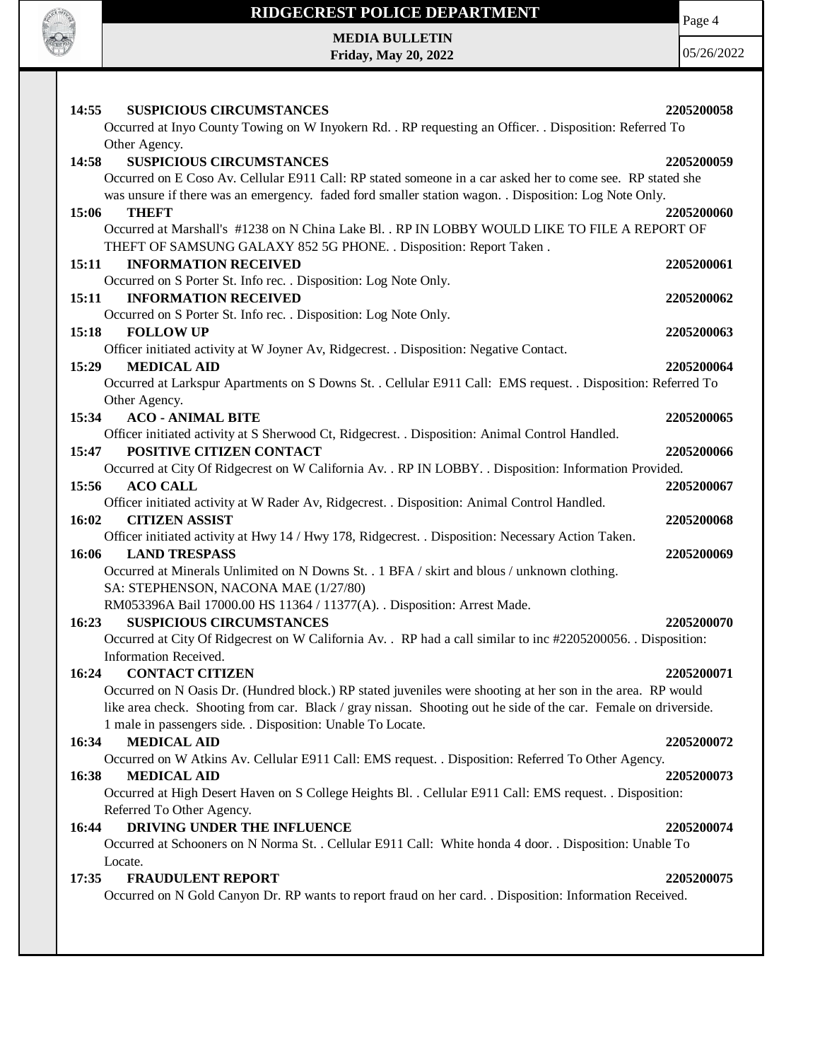

**Friday, May 20, 2022**

Page 4

| 14:55<br><b>SUSPICIOUS CIRCUMSTANCES</b>                                                                                                    | 2205200058 |
|---------------------------------------------------------------------------------------------------------------------------------------------|------------|
| Occurred at Inyo County Towing on W Inyokern Rd. . RP requesting an Officer. . Disposition: Referred To                                     |            |
| Other Agency.                                                                                                                               |            |
| <b>SUSPICIOUS CIRCUMSTANCES</b><br>14:58                                                                                                    | 2205200059 |
| Occurred on E Coso Av. Cellular E911 Call: RP stated someone in a car asked her to come see. RP stated she                                  |            |
| was unsure if there was an emergency. faded ford smaller station wagon. . Disposition: Log Note Only.                                       |            |
| 15:06<br>THEFT                                                                                                                              | 2205200060 |
| Occurred at Marshall's #1238 on N China Lake Bl. . RP IN LOBBY WOULD LIKE TO FILE A REPORT OF                                               |            |
| THEFT OF SAMSUNG GALAXY 852 5G PHONE. . Disposition: Report Taken.                                                                          |            |
| 15:11<br><b>INFORMATION RECEIVED</b>                                                                                                        | 2205200061 |
| Occurred on S Porter St. Info rec. . Disposition: Log Note Only.                                                                            |            |
| <b>INFORMATION RECEIVED</b><br>15:11                                                                                                        | 2205200062 |
| Occurred on S Porter St. Info rec. . Disposition: Log Note Only.                                                                            |            |
| <b>FOLLOW UP</b><br>15:18                                                                                                                   | 2205200063 |
| Officer initiated activity at W Joyner Av, Ridgecrest. . Disposition: Negative Contact.                                                     |            |
| <b>MEDICAL AID</b><br>15:29<br>Occurred at Larkspur Apartments on S Downs St. . Cellular E911 Call: EMS request. . Disposition: Referred To | 2205200064 |
| Other Agency.                                                                                                                               |            |
| <b>ACO - ANIMAL BITE</b><br>15:34                                                                                                           | 2205200065 |
| Officer initiated activity at S Sherwood Ct, Ridgecrest. . Disposition: Animal Control Handled.                                             |            |
| POSITIVE CITIZEN CONTACT<br>15:47                                                                                                           | 2205200066 |
| Occurred at City Of Ridgecrest on W California Av. . RP IN LOBBY. . Disposition: Information Provided.                                      |            |
| 15:56<br><b>ACO CALL</b>                                                                                                                    | 2205200067 |
| Officer initiated activity at W Rader Av, Ridgecrest. . Disposition: Animal Control Handled.                                                |            |
| 16:02<br><b>CITIZEN ASSIST</b>                                                                                                              | 2205200068 |
| Officer initiated activity at Hwy 14 / Hwy 178, Ridgecrest. . Disposition: Necessary Action Taken.                                          |            |
| 16:06 LAND TRESPASS                                                                                                                         | 2205200069 |
| Occurred at Minerals Unlimited on N Downs St. . 1 BFA / skirt and blous / unknown clothing.                                                 |            |
| SA: STEPHENSON, NACONA MAE (1/27/80)                                                                                                        |            |
| RM053396A Bail 17000.00 HS 11364 / 11377(A). . Disposition: Arrest Made.                                                                    |            |
| 16:23<br><b>SUSPICIOUS CIRCUMSTANCES</b>                                                                                                    | 2205200070 |
| Occurred at City Of Ridgecrest on W California Av. . RP had a call similar to inc #2205200056. . Disposition:                               |            |
| Information Received.<br><b>CONTACT CITIZEN</b><br>16:24                                                                                    | 2205200071 |
| Occurred on N Oasis Dr. (Hundred block.) RP stated juveniles were shooting at her son in the area. RP would                                 |            |
| like area check. Shooting from car. Black / gray nissan. Shooting out he side of the car. Female on driverside.                             |            |
| 1 male in passengers side. . Disposition: Unable To Locate.                                                                                 |            |
| <b>MEDICAL AID</b><br>16:34                                                                                                                 | 2205200072 |
| Occurred on W Atkins Av. Cellular E911 Call: EMS request. . Disposition: Referred To Other Agency.                                          |            |
| <b>MEDICAL AID</b><br>16:38                                                                                                                 | 2205200073 |
| Occurred at High Desert Haven on S College Heights Bl. . Cellular E911 Call: EMS request. . Disposition:                                    |            |
| Referred To Other Agency.                                                                                                                   |            |
| DRIVING UNDER THE INFLUENCE<br>16:44                                                                                                        | 2205200074 |
| Occurred at Schooners on N Norma St. . Cellular E911 Call: White honda 4 door. . Disposition: Unable To                                     |            |
| Locate.                                                                                                                                     |            |
| <b>FRAUDULENT REPORT</b><br>17:35                                                                                                           | 2205200075 |
| Occurred on N Gold Canyon Dr. RP wants to report fraud on her card. . Disposition: Information Received.                                    |            |
|                                                                                                                                             |            |
|                                                                                                                                             |            |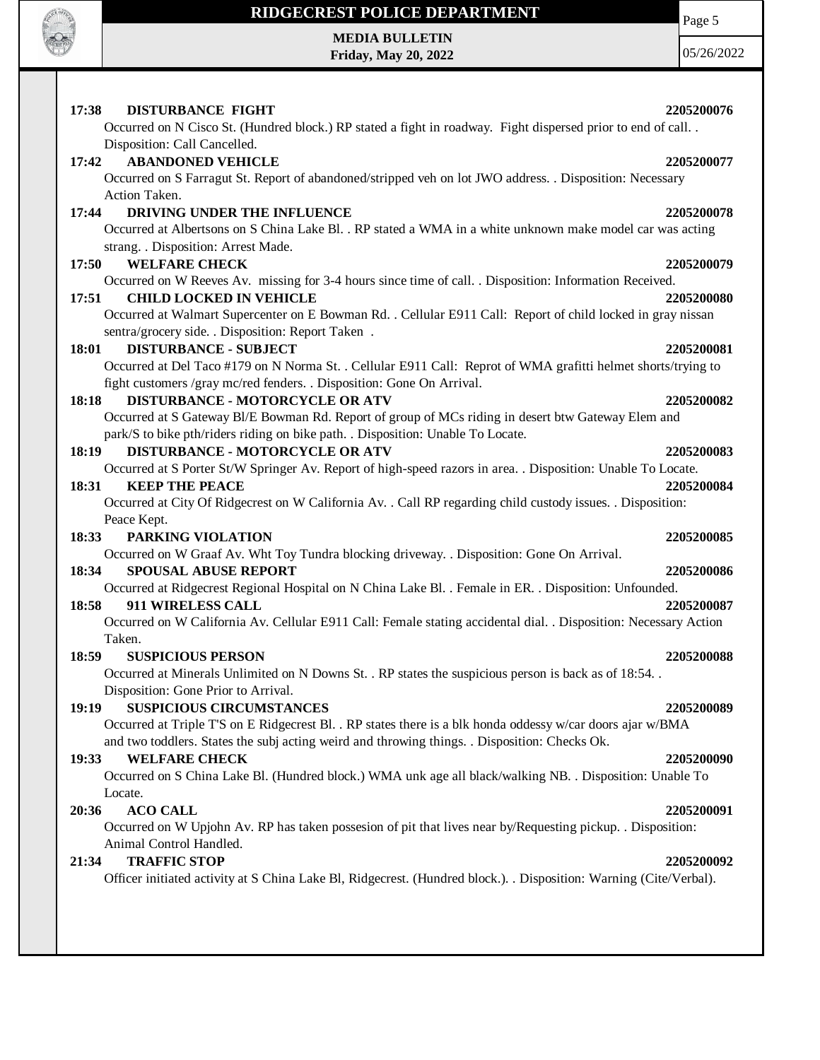

 $\mathsf{l}$ 

# **RIDGECREST POLICE DEPARTMENT MEDIA BULLETIN**

**Friday, May 20, 2022**

Page 5

| <b>DISTURBANCE FIGHT</b><br>2205200076<br>17:38<br>Occurred on N Cisco St. (Hundred block.) RP stated a fight in roadway. Fight dispersed prior to end of call<br>Disposition: Call Cancelled.<br><b>ABANDONED VEHICLE</b><br>17:42<br>2205200077<br>Occurred on S Farragut St. Report of abandoned/stripped veh on lot JWO address. . Disposition: Necessary<br>Action Taken.<br>17:44<br>DRIVING UNDER THE INFLUENCE<br>2205200078<br>Occurred at Albertsons on S China Lake Bl. . RP stated a WMA in a white unknown make model car was acting<br>strang. . Disposition: Arrest Made.<br><b>WELFARE CHECK</b><br>17:50<br>2205200079<br>Occurred on W Reeves Av. missing for 3-4 hours since time of call. . Disposition: Information Received.<br>17:51<br><b>CHILD LOCKED IN VEHICLE</b><br>2205200080<br>Occurred at Walmart Supercenter on E Bowman Rd. . Cellular E911 Call: Report of child locked in gray nissan<br>sentra/grocery side. . Disposition: Report Taken .<br><b>DISTURBANCE - SUBJECT</b><br>18:01<br>2205200081<br>Occurred at Del Taco #179 on N Norma St. . Cellular E911 Call: Reprot of WMA grafitti helmet shorts/trying to<br>fight customers /gray mc/red fenders. . Disposition: Gone On Arrival.<br><b>DISTURBANCE - MOTORCYCLE OR ATV</b><br>18:18<br>2205200082<br>Occurred at S Gateway Bl/E Bowman Rd. Report of group of MCs riding in desert btw Gateway Elem and<br>park/S to bike pth/riders riding on bike path. . Disposition: Unable To Locate.<br><b>DISTURBANCE - MOTORCYCLE OR ATV</b><br>18:19<br>2205200083<br>Occurred at S Porter St/W Springer Av. Report of high-speed razors in area. . Disposition: Unable To Locate.<br><b>KEEP THE PEACE</b><br>18:31<br>2205200084<br>Occurred at City Of Ridgecrest on W California Av. . Call RP regarding child custody issues. . Disposition:<br>Peace Kept.<br>18:33<br>PARKING VIOLATION<br>2205200085<br>Occurred on W Graaf Av. Wht Toy Tundra blocking driveway. . Disposition: Gone On Arrival.<br>18:34<br><b>SPOUSAL ABUSE REPORT</b><br>2205200086<br>Occurred at Ridgecrest Regional Hospital on N China Lake Bl. . Female in ER. . Disposition: Unfounded.<br>18:58<br>911 WIRELESS CALL<br>2205200087 |
|-----------------------------------------------------------------------------------------------------------------------------------------------------------------------------------------------------------------------------------------------------------------------------------------------------------------------------------------------------------------------------------------------------------------------------------------------------------------------------------------------------------------------------------------------------------------------------------------------------------------------------------------------------------------------------------------------------------------------------------------------------------------------------------------------------------------------------------------------------------------------------------------------------------------------------------------------------------------------------------------------------------------------------------------------------------------------------------------------------------------------------------------------------------------------------------------------------------------------------------------------------------------------------------------------------------------------------------------------------------------------------------------------------------------------------------------------------------------------------------------------------------------------------------------------------------------------------------------------------------------------------------------------------------------------------------------------------------------------------------------------------------------------------------------------------------------------------------------------------------------------------------------------------------------------------------------------------------------------------------------------------------------------------------------------------------------------------------------------------------------------------------------------------------------------------------------------------------------|
|                                                                                                                                                                                                                                                                                                                                                                                                                                                                                                                                                                                                                                                                                                                                                                                                                                                                                                                                                                                                                                                                                                                                                                                                                                                                                                                                                                                                                                                                                                                                                                                                                                                                                                                                                                                                                                                                                                                                                                                                                                                                                                                                                                                                                 |
|                                                                                                                                                                                                                                                                                                                                                                                                                                                                                                                                                                                                                                                                                                                                                                                                                                                                                                                                                                                                                                                                                                                                                                                                                                                                                                                                                                                                                                                                                                                                                                                                                                                                                                                                                                                                                                                                                                                                                                                                                                                                                                                                                                                                                 |
|                                                                                                                                                                                                                                                                                                                                                                                                                                                                                                                                                                                                                                                                                                                                                                                                                                                                                                                                                                                                                                                                                                                                                                                                                                                                                                                                                                                                                                                                                                                                                                                                                                                                                                                                                                                                                                                                                                                                                                                                                                                                                                                                                                                                                 |
|                                                                                                                                                                                                                                                                                                                                                                                                                                                                                                                                                                                                                                                                                                                                                                                                                                                                                                                                                                                                                                                                                                                                                                                                                                                                                                                                                                                                                                                                                                                                                                                                                                                                                                                                                                                                                                                                                                                                                                                                                                                                                                                                                                                                                 |
|                                                                                                                                                                                                                                                                                                                                                                                                                                                                                                                                                                                                                                                                                                                                                                                                                                                                                                                                                                                                                                                                                                                                                                                                                                                                                                                                                                                                                                                                                                                                                                                                                                                                                                                                                                                                                                                                                                                                                                                                                                                                                                                                                                                                                 |
|                                                                                                                                                                                                                                                                                                                                                                                                                                                                                                                                                                                                                                                                                                                                                                                                                                                                                                                                                                                                                                                                                                                                                                                                                                                                                                                                                                                                                                                                                                                                                                                                                                                                                                                                                                                                                                                                                                                                                                                                                                                                                                                                                                                                                 |
|                                                                                                                                                                                                                                                                                                                                                                                                                                                                                                                                                                                                                                                                                                                                                                                                                                                                                                                                                                                                                                                                                                                                                                                                                                                                                                                                                                                                                                                                                                                                                                                                                                                                                                                                                                                                                                                                                                                                                                                                                                                                                                                                                                                                                 |
|                                                                                                                                                                                                                                                                                                                                                                                                                                                                                                                                                                                                                                                                                                                                                                                                                                                                                                                                                                                                                                                                                                                                                                                                                                                                                                                                                                                                                                                                                                                                                                                                                                                                                                                                                                                                                                                                                                                                                                                                                                                                                                                                                                                                                 |
|                                                                                                                                                                                                                                                                                                                                                                                                                                                                                                                                                                                                                                                                                                                                                                                                                                                                                                                                                                                                                                                                                                                                                                                                                                                                                                                                                                                                                                                                                                                                                                                                                                                                                                                                                                                                                                                                                                                                                                                                                                                                                                                                                                                                                 |
|                                                                                                                                                                                                                                                                                                                                                                                                                                                                                                                                                                                                                                                                                                                                                                                                                                                                                                                                                                                                                                                                                                                                                                                                                                                                                                                                                                                                                                                                                                                                                                                                                                                                                                                                                                                                                                                                                                                                                                                                                                                                                                                                                                                                                 |
|                                                                                                                                                                                                                                                                                                                                                                                                                                                                                                                                                                                                                                                                                                                                                                                                                                                                                                                                                                                                                                                                                                                                                                                                                                                                                                                                                                                                                                                                                                                                                                                                                                                                                                                                                                                                                                                                                                                                                                                                                                                                                                                                                                                                                 |
|                                                                                                                                                                                                                                                                                                                                                                                                                                                                                                                                                                                                                                                                                                                                                                                                                                                                                                                                                                                                                                                                                                                                                                                                                                                                                                                                                                                                                                                                                                                                                                                                                                                                                                                                                                                                                                                                                                                                                                                                                                                                                                                                                                                                                 |
|                                                                                                                                                                                                                                                                                                                                                                                                                                                                                                                                                                                                                                                                                                                                                                                                                                                                                                                                                                                                                                                                                                                                                                                                                                                                                                                                                                                                                                                                                                                                                                                                                                                                                                                                                                                                                                                                                                                                                                                                                                                                                                                                                                                                                 |
|                                                                                                                                                                                                                                                                                                                                                                                                                                                                                                                                                                                                                                                                                                                                                                                                                                                                                                                                                                                                                                                                                                                                                                                                                                                                                                                                                                                                                                                                                                                                                                                                                                                                                                                                                                                                                                                                                                                                                                                                                                                                                                                                                                                                                 |
|                                                                                                                                                                                                                                                                                                                                                                                                                                                                                                                                                                                                                                                                                                                                                                                                                                                                                                                                                                                                                                                                                                                                                                                                                                                                                                                                                                                                                                                                                                                                                                                                                                                                                                                                                                                                                                                                                                                                                                                                                                                                                                                                                                                                                 |
|                                                                                                                                                                                                                                                                                                                                                                                                                                                                                                                                                                                                                                                                                                                                                                                                                                                                                                                                                                                                                                                                                                                                                                                                                                                                                                                                                                                                                                                                                                                                                                                                                                                                                                                                                                                                                                                                                                                                                                                                                                                                                                                                                                                                                 |
|                                                                                                                                                                                                                                                                                                                                                                                                                                                                                                                                                                                                                                                                                                                                                                                                                                                                                                                                                                                                                                                                                                                                                                                                                                                                                                                                                                                                                                                                                                                                                                                                                                                                                                                                                                                                                                                                                                                                                                                                                                                                                                                                                                                                                 |
|                                                                                                                                                                                                                                                                                                                                                                                                                                                                                                                                                                                                                                                                                                                                                                                                                                                                                                                                                                                                                                                                                                                                                                                                                                                                                                                                                                                                                                                                                                                                                                                                                                                                                                                                                                                                                                                                                                                                                                                                                                                                                                                                                                                                                 |
|                                                                                                                                                                                                                                                                                                                                                                                                                                                                                                                                                                                                                                                                                                                                                                                                                                                                                                                                                                                                                                                                                                                                                                                                                                                                                                                                                                                                                                                                                                                                                                                                                                                                                                                                                                                                                                                                                                                                                                                                                                                                                                                                                                                                                 |
|                                                                                                                                                                                                                                                                                                                                                                                                                                                                                                                                                                                                                                                                                                                                                                                                                                                                                                                                                                                                                                                                                                                                                                                                                                                                                                                                                                                                                                                                                                                                                                                                                                                                                                                                                                                                                                                                                                                                                                                                                                                                                                                                                                                                                 |
|                                                                                                                                                                                                                                                                                                                                                                                                                                                                                                                                                                                                                                                                                                                                                                                                                                                                                                                                                                                                                                                                                                                                                                                                                                                                                                                                                                                                                                                                                                                                                                                                                                                                                                                                                                                                                                                                                                                                                                                                                                                                                                                                                                                                                 |
|                                                                                                                                                                                                                                                                                                                                                                                                                                                                                                                                                                                                                                                                                                                                                                                                                                                                                                                                                                                                                                                                                                                                                                                                                                                                                                                                                                                                                                                                                                                                                                                                                                                                                                                                                                                                                                                                                                                                                                                                                                                                                                                                                                                                                 |
|                                                                                                                                                                                                                                                                                                                                                                                                                                                                                                                                                                                                                                                                                                                                                                                                                                                                                                                                                                                                                                                                                                                                                                                                                                                                                                                                                                                                                                                                                                                                                                                                                                                                                                                                                                                                                                                                                                                                                                                                                                                                                                                                                                                                                 |
|                                                                                                                                                                                                                                                                                                                                                                                                                                                                                                                                                                                                                                                                                                                                                                                                                                                                                                                                                                                                                                                                                                                                                                                                                                                                                                                                                                                                                                                                                                                                                                                                                                                                                                                                                                                                                                                                                                                                                                                                                                                                                                                                                                                                                 |
|                                                                                                                                                                                                                                                                                                                                                                                                                                                                                                                                                                                                                                                                                                                                                                                                                                                                                                                                                                                                                                                                                                                                                                                                                                                                                                                                                                                                                                                                                                                                                                                                                                                                                                                                                                                                                                                                                                                                                                                                                                                                                                                                                                                                                 |
|                                                                                                                                                                                                                                                                                                                                                                                                                                                                                                                                                                                                                                                                                                                                                                                                                                                                                                                                                                                                                                                                                                                                                                                                                                                                                                                                                                                                                                                                                                                                                                                                                                                                                                                                                                                                                                                                                                                                                                                                                                                                                                                                                                                                                 |
|                                                                                                                                                                                                                                                                                                                                                                                                                                                                                                                                                                                                                                                                                                                                                                                                                                                                                                                                                                                                                                                                                                                                                                                                                                                                                                                                                                                                                                                                                                                                                                                                                                                                                                                                                                                                                                                                                                                                                                                                                                                                                                                                                                                                                 |
|                                                                                                                                                                                                                                                                                                                                                                                                                                                                                                                                                                                                                                                                                                                                                                                                                                                                                                                                                                                                                                                                                                                                                                                                                                                                                                                                                                                                                                                                                                                                                                                                                                                                                                                                                                                                                                                                                                                                                                                                                                                                                                                                                                                                                 |
|                                                                                                                                                                                                                                                                                                                                                                                                                                                                                                                                                                                                                                                                                                                                                                                                                                                                                                                                                                                                                                                                                                                                                                                                                                                                                                                                                                                                                                                                                                                                                                                                                                                                                                                                                                                                                                                                                                                                                                                                                                                                                                                                                                                                                 |
|                                                                                                                                                                                                                                                                                                                                                                                                                                                                                                                                                                                                                                                                                                                                                                                                                                                                                                                                                                                                                                                                                                                                                                                                                                                                                                                                                                                                                                                                                                                                                                                                                                                                                                                                                                                                                                                                                                                                                                                                                                                                                                                                                                                                                 |
| Occurred on W California Av. Cellular E911 Call: Female stating accidental dial. . Disposition: Necessary Action                                                                                                                                                                                                                                                                                                                                                                                                                                                                                                                                                                                                                                                                                                                                                                                                                                                                                                                                                                                                                                                                                                                                                                                                                                                                                                                                                                                                                                                                                                                                                                                                                                                                                                                                                                                                                                                                                                                                                                                                                                                                                                |
| Taken.                                                                                                                                                                                                                                                                                                                                                                                                                                                                                                                                                                                                                                                                                                                                                                                                                                                                                                                                                                                                                                                                                                                                                                                                                                                                                                                                                                                                                                                                                                                                                                                                                                                                                                                                                                                                                                                                                                                                                                                                                                                                                                                                                                                                          |
| 18:59<br><b>SUSPICIOUS PERSON</b><br>2205200088                                                                                                                                                                                                                                                                                                                                                                                                                                                                                                                                                                                                                                                                                                                                                                                                                                                                                                                                                                                                                                                                                                                                                                                                                                                                                                                                                                                                                                                                                                                                                                                                                                                                                                                                                                                                                                                                                                                                                                                                                                                                                                                                                                 |
| Occurred at Minerals Unlimited on N Downs St. . RP states the suspicious person is back as of 18:54. .                                                                                                                                                                                                                                                                                                                                                                                                                                                                                                                                                                                                                                                                                                                                                                                                                                                                                                                                                                                                                                                                                                                                                                                                                                                                                                                                                                                                                                                                                                                                                                                                                                                                                                                                                                                                                                                                                                                                                                                                                                                                                                          |
| Disposition: Gone Prior to Arrival.                                                                                                                                                                                                                                                                                                                                                                                                                                                                                                                                                                                                                                                                                                                                                                                                                                                                                                                                                                                                                                                                                                                                                                                                                                                                                                                                                                                                                                                                                                                                                                                                                                                                                                                                                                                                                                                                                                                                                                                                                                                                                                                                                                             |
| 19:19<br><b>SUSPICIOUS CIRCUMSTANCES</b><br>2205200089                                                                                                                                                                                                                                                                                                                                                                                                                                                                                                                                                                                                                                                                                                                                                                                                                                                                                                                                                                                                                                                                                                                                                                                                                                                                                                                                                                                                                                                                                                                                                                                                                                                                                                                                                                                                                                                                                                                                                                                                                                                                                                                                                          |
| Occurred at Triple T'S on E Ridgecrest Bl. . RP states there is a blk honda oddessy w/car doors ajar w/BMA                                                                                                                                                                                                                                                                                                                                                                                                                                                                                                                                                                                                                                                                                                                                                                                                                                                                                                                                                                                                                                                                                                                                                                                                                                                                                                                                                                                                                                                                                                                                                                                                                                                                                                                                                                                                                                                                                                                                                                                                                                                                                                      |
| and two toddlers. States the subj acting weird and throwing things. . Disposition: Checks Ok.                                                                                                                                                                                                                                                                                                                                                                                                                                                                                                                                                                                                                                                                                                                                                                                                                                                                                                                                                                                                                                                                                                                                                                                                                                                                                                                                                                                                                                                                                                                                                                                                                                                                                                                                                                                                                                                                                                                                                                                                                                                                                                                   |
| 19:33<br><b>WELFARE CHECK</b><br>2205200090                                                                                                                                                                                                                                                                                                                                                                                                                                                                                                                                                                                                                                                                                                                                                                                                                                                                                                                                                                                                                                                                                                                                                                                                                                                                                                                                                                                                                                                                                                                                                                                                                                                                                                                                                                                                                                                                                                                                                                                                                                                                                                                                                                     |
| Occurred on S China Lake Bl. (Hundred block.) WMA unk age all black/walking NB. . Disposition: Unable To                                                                                                                                                                                                                                                                                                                                                                                                                                                                                                                                                                                                                                                                                                                                                                                                                                                                                                                                                                                                                                                                                                                                                                                                                                                                                                                                                                                                                                                                                                                                                                                                                                                                                                                                                                                                                                                                                                                                                                                                                                                                                                        |
| Locate.                                                                                                                                                                                                                                                                                                                                                                                                                                                                                                                                                                                                                                                                                                                                                                                                                                                                                                                                                                                                                                                                                                                                                                                                                                                                                                                                                                                                                                                                                                                                                                                                                                                                                                                                                                                                                                                                                                                                                                                                                                                                                                                                                                                                         |
| <b>ACO CALL</b><br>20:36<br>2205200091                                                                                                                                                                                                                                                                                                                                                                                                                                                                                                                                                                                                                                                                                                                                                                                                                                                                                                                                                                                                                                                                                                                                                                                                                                                                                                                                                                                                                                                                                                                                                                                                                                                                                                                                                                                                                                                                                                                                                                                                                                                                                                                                                                          |
| Occurred on W Upjohn Av. RP has taken possesion of pit that lives near by/Requesting pickup. . Disposition:                                                                                                                                                                                                                                                                                                                                                                                                                                                                                                                                                                                                                                                                                                                                                                                                                                                                                                                                                                                                                                                                                                                                                                                                                                                                                                                                                                                                                                                                                                                                                                                                                                                                                                                                                                                                                                                                                                                                                                                                                                                                                                     |
| Animal Control Handled.                                                                                                                                                                                                                                                                                                                                                                                                                                                                                                                                                                                                                                                                                                                                                                                                                                                                                                                                                                                                                                                                                                                                                                                                                                                                                                                                                                                                                                                                                                                                                                                                                                                                                                                                                                                                                                                                                                                                                                                                                                                                                                                                                                                         |
| <b>TRAFFIC STOP</b><br>21:34<br>2205200092                                                                                                                                                                                                                                                                                                                                                                                                                                                                                                                                                                                                                                                                                                                                                                                                                                                                                                                                                                                                                                                                                                                                                                                                                                                                                                                                                                                                                                                                                                                                                                                                                                                                                                                                                                                                                                                                                                                                                                                                                                                                                                                                                                      |
| Officer initiated activity at S China Lake Bl, Ridgecrest. (Hundred block.). . Disposition: Warning (Cite/Verbal).                                                                                                                                                                                                                                                                                                                                                                                                                                                                                                                                                                                                                                                                                                                                                                                                                                                                                                                                                                                                                                                                                                                                                                                                                                                                                                                                                                                                                                                                                                                                                                                                                                                                                                                                                                                                                                                                                                                                                                                                                                                                                              |
|                                                                                                                                                                                                                                                                                                                                                                                                                                                                                                                                                                                                                                                                                                                                                                                                                                                                                                                                                                                                                                                                                                                                                                                                                                                                                                                                                                                                                                                                                                                                                                                                                                                                                                                                                                                                                                                                                                                                                                                                                                                                                                                                                                                                                 |
|                                                                                                                                                                                                                                                                                                                                                                                                                                                                                                                                                                                                                                                                                                                                                                                                                                                                                                                                                                                                                                                                                                                                                                                                                                                                                                                                                                                                                                                                                                                                                                                                                                                                                                                                                                                                                                                                                                                                                                                                                                                                                                                                                                                                                 |
|                                                                                                                                                                                                                                                                                                                                                                                                                                                                                                                                                                                                                                                                                                                                                                                                                                                                                                                                                                                                                                                                                                                                                                                                                                                                                                                                                                                                                                                                                                                                                                                                                                                                                                                                                                                                                                                                                                                                                                                                                                                                                                                                                                                                                 |
|                                                                                                                                                                                                                                                                                                                                                                                                                                                                                                                                                                                                                                                                                                                                                                                                                                                                                                                                                                                                                                                                                                                                                                                                                                                                                                                                                                                                                                                                                                                                                                                                                                                                                                                                                                                                                                                                                                                                                                                                                                                                                                                                                                                                                 |
|                                                                                                                                                                                                                                                                                                                                                                                                                                                                                                                                                                                                                                                                                                                                                                                                                                                                                                                                                                                                                                                                                                                                                                                                                                                                                                                                                                                                                                                                                                                                                                                                                                                                                                                                                                                                                                                                                                                                                                                                                                                                                                                                                                                                                 |